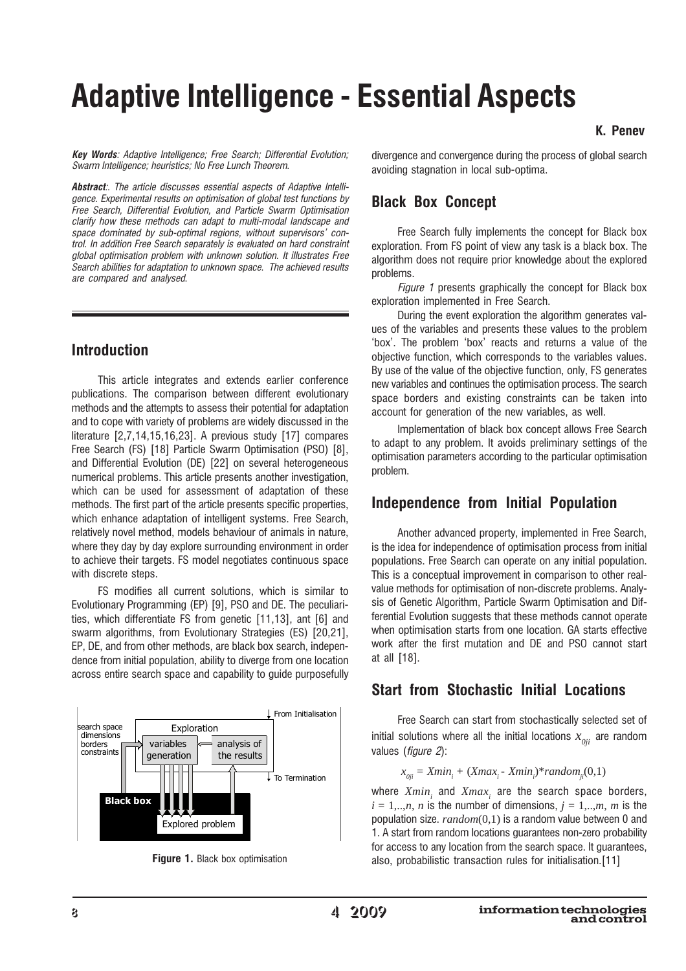# **Adaptive Intelligence - Essential Aspects**

**Key Words:** Adaptive Intelligence: Free Search: Differential Evolution: Swarm Intelligence; heuristics; No Free Lunch Theorem.

Abstract:. The article discusses essential aspects of Adaptive Intelligence. Experimental results on optimisation of global test functions by Free Search, Differential Evolution, and Particle Swarm Optimisation clarify how these methods can adapt to multi-modal landscape and space dominated by sub-optimal regions, without supervisors' control. In addition Free Search separately is evaluated on hard constraint global optimisation problem with unknown solution. It illustrates Free Search abilities for adaptation to unknown space. The achieved results are compared and analysed.

## **Introduction**

This article integrates and extends earlier conference publications. The comparison between different evolutionary methods and the attempts to assess their potential for adaptation and to cope with variety of problems are widely discussed in the literature [2,7,14,15,16,23]. A previous study [17] compares Free Search (FS) [18] Particle Swarm Optimisation (PSO) [8]. and Differential Evolution (DE) [22] on several heterogeneous numerical problems. This article presents another investigation, which can be used for assessment of adaptation of these methods. The first part of the article presents specific properties. which enhance adaptation of intelligent systems. Free Search, relatively novel method, models behaviour of animals in nature, where they day by day explore surrounding environment in order to achieve their targets. FS model negotiates continuous space with discrete steps.

FS modifies all current solutions, which is similar to Evolutionary Programming (EP) [9], PSO and DE. The peculiarities, which differentiate FS from genetic [11,13], ant [6] and swarm algorithms, from Evolutionary Strategies (ES) [20,21], EP. DE, and from other methods, are black box search, independence from initial population, ability to diverge from one location across entire search space and capability to guide purposefully



Figure 1. Black box optimisation

divergence and convergence during the process of global search avoiding stagnation in local sub-optima.

K. Penev

## **Black Box Concept**

Free Search fully implements the concept for Black box exploration. From FS point of view any task is a black box. The algorithm does not require prior knowledge about the explored *nroblems* 

Figure 1 presents graphically the concept for Black box exploration implemented in Free Search.

During the event exploration the algorithm generates values of the variables and presents these values to the problem 'box'. The problem 'box' reacts and returns a value of the objective function, which corresponds to the variables values. By use of the value of the objective function, only, FS generates new variables and continues the optimisation process. The search space borders and existing constraints can be taken into account for generation of the new variables, as well.

Implementation of black box concept allows Free Search to adapt to any problem. It avoids preliminary settings of the optimisation parameters according to the particular optimisation problem.

## **Independence from Initial Population**

Another advanced property, implemented in Free Search, is the idea for independence of optimisation process from initial populations. Free Search can operate on any initial population. This is a conceptual improvement in comparison to other realvalue methods for optimisation of non-discrete problems. Analysis of Genetic Algorithm. Particle Swarm Optimisation and Differential Evolution suggests that these methods cannot operate when optimisation starts from one location. GA starts effective work after the first mutation and DE and PSO cannot start at all [18].

## Start from Stochastic Initial Locations

Free Search can start from stochastically selected set of initial solutions where all the initial locations  $x_{0ii}$  are random values (figure 2):

$$
x_{0ii} = Xmin_i + (Xmax_i - Xmin_i)*random_i(0,1)
$$

where  $Xmin$ , and  $Xmax$ , are the search space borders,  $i = 1,...,n$ , n is the number of dimensions,  $i = 1,...,m$ , m is the population size.  $random(0,1)$  is a random value between 0 and 1. A start from random locations guarantees non-zero probability for access to any location from the search space. It guarantees, also, probabilistic transaction rules for initialisation.[11]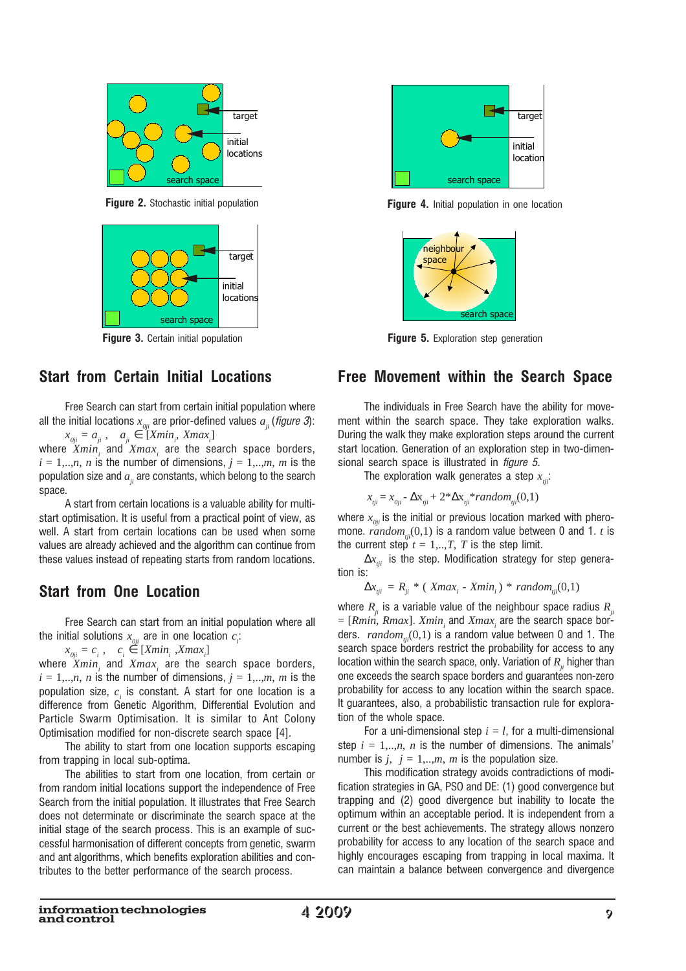

**Figure 2.** Stochastic initial population



Figure 3. Certain initial population

## **Start from Certain Initial Locations**

Free Search can start from certain initial population where all the initial locations  $x_{0ji}$  are prior-defined values  $a_{ji}$  (figure 3):  $x_{0ji} = a_{ji}$ ,  $a_{ji} \in [Xmin_i, Xmax_i]$ <br>where  $Xmin_i$  and  $Xmax_i$  are the search space borders,

 $i=1,...n$ , n is the number of dimensions,  $i=1,...m$ , m is the population size and  $a_n$  are constants, which belong to the search space.

A start from certain locations is a valuable ability for multistart optimisation. It is useful from a practical point of view, as well. A start from certain locations can be used when some values are already achieved and the algorithm can continue from these values instead of repeating starts from random locations.

## **Start from One Location**

Free Search can start from an initial population where all the initial solutions  $x_{0ii}$  are in one location  $c_i$ :

 $x_{0ji} = c_i$ ,  $c_i \in [Xmin_i, Xmax_i]$ <br>where  $Xmin_i$  and  $Xmax_i$  are the search space borders,  $i = 1,...,n$ , *n* is the number of dimensions,  $j = 1,...,m$ , *m* is the population size,  $c_i$  is constant. A start for one location is a difference from Genetic Algorithm, Differential Evolution and Particle Swarm Optimisation. It is similar to Ant Colonv Optimisation modified for non-discrete search space [4].

The ability to start from one location supports escaping from trapping in local sub-optima.

The abilities to start from one location, from certain or from random initial locations support the independence of Free Search from the initial population. It illustrates that Free Search does not determinate or discriminate the search space at the initial stage of the search process. This is an example of successful harmonisation of different concepts from genetic, swarm and ant algorithms, which benefits exploration abilities and contributes to the better performance of the search process.



Figure 4. Initial population in one location



Figure 5. Exploration step generation

## Free Movement within the Search Space

The individuals in Free Search have the ability for movement within the search space. They take exploration walks. During the walk they make exploration steps around the current start location. Generation of an exploration step in two-dimensional search space is illustrated in *figure 5*.

The exploration walk generates a step  $x_{\ldots}$ :

$$
x_{\scriptscriptstyle{fii}} = x_{\scriptscriptstyle{Oii}} - \Delta x_{\scriptscriptstyle{fii}} + 2 * \Delta x_{\scriptscriptstyle{fii}} * \text{random}_{\scriptscriptstyle{fii}}(0,1)
$$

where  $x_{0ii}$  is the initial or previous location marked with pheromone.  $random_{\text{in}}(0,1)$  is a random value between 0 and 1. t is the current step  $t = 1, ..., T$ , T is the step limit.

 $\Delta x_{\mu i}$  is the step. Modification strategy for step generation is:

$$
\Delta x_{\eta i} = R_{ji} * (Xmax_i - Xmin_i) * random_{ji}(0,1)
$$

where  $R_{ii}$  is a variable value of the neighbour space radius  $R_{ii}$  $=$  [Rmin, Rmax]. Xmin, and Xmax, are the search space borders.  $random_{m}(0,1)$  is a random value between 0 and 1. The search space borders restrict the probability for access to any location within the search space, only. Variation of  $R<sub>n</sub>$  higher than one exceeds the search space borders and quarantees non-zero probability for access to any location within the search space. It quarantees, also, a probabilistic transaction rule for exploration of the whole space.

For a uni-dimensional step  $i = l$ , for a multi-dimensional step  $i = 1,...,n$ , *n* is the number of dimensions. The animals number is  $j, j = 1, \ldots, m, m$  is the population size.

This modification strategy avoids contradictions of modification strategies in GA, PSO and DE: (1) good convergence but trapping and (2) good divergence but inability to locate the optimum within an acceptable period. It is independent from a current or the best achievements. The strategy allows nonzero probability for access to any location of the search space and highly encourages escaping from trapping in local maxima. It can maintain a balance between convergence and divergence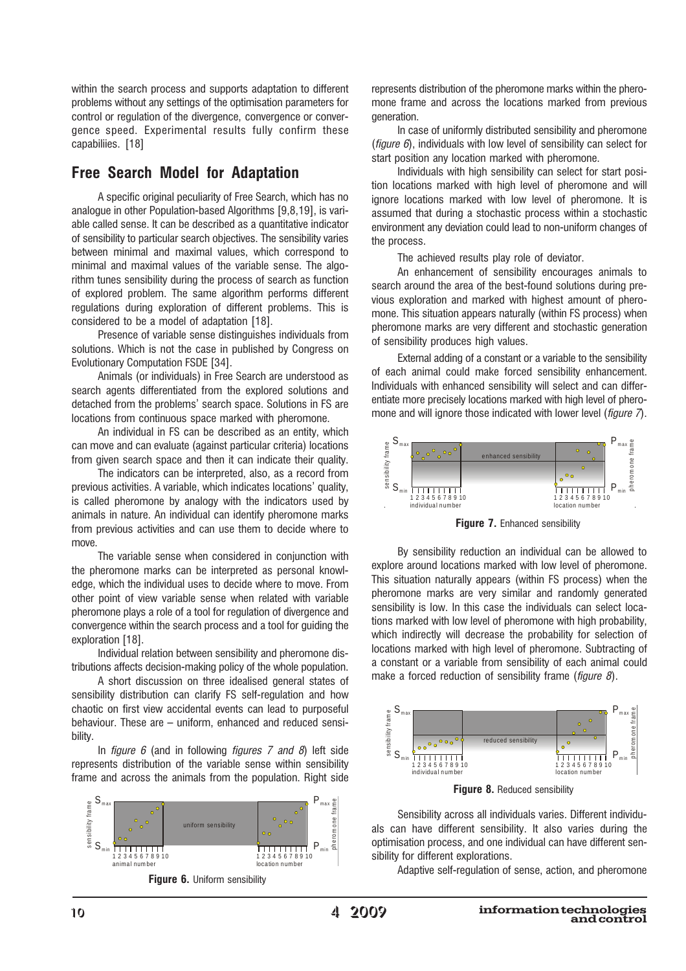within the search process and supports adaptation to different problems without any settings of the optimisation parameters for control or regulation of the divergence, convergence or convergence speed. Experimental results fully confirm these capabiliies. [18]

## Free Search Model for Adaptation

A specific original peculiarity of Free Search, which has no analogue in other Population-based Algorithms [9,8,19], is variable called sense. It can be described as a quantitative indicator of sensibility to particular search objectives. The sensibility varies between minimal and maximal values, which correspond to minimal and maximal values of the variable sense. The algorithm tunes sensibility during the process of search as function of explored problem. The same algorithm performs different regulations during exploration of different problems. This is considered to be a model of adaptation [18].

Presence of variable sense distinguishes individuals from solutions. Which is not the case in published by Congress on Evolutionary Computation FSDE [34].

Animals (or individuals) in Free Search are understood as search agents differentiated from the explored solutions and detached from the problems' search space. Solutions in FS are locations from continuous space marked with pheromone.

An individual in FS can be described as an entity, which can move and can evaluate (against particular criteria) locations from given search space and then it can indicate their quality.

The indicators can be interpreted, also, as a record from previous activities. A variable, which indicates locations' quality, is called pheromone by analogy with the indicators used by animals in nature. An individual can identify pheromone marks from previous activities and can use them to decide where to move.

The variable sense when considered in conjunction with the pheromone marks can be interpreted as personal knowledge, which the individual uses to decide where to move. From other point of view variable sense when related with variable pheromone plays a role of a tool for regulation of divergence and convergence within the search process and a tool for guiding the exploration [18].

Individual relation between sensibility and pheromone distributions affects decision-making policy of the whole population.

A short discussion on three idealised general states of sensibility distribution can clarify FS self-regulation and how chaotic on first view accidental events can lead to purposeful behaviour. These are - uniform, enhanced and reduced sensibility.

In *figure 6* (and in following *figures 7 and 8*) left side represents distribution of the variable sense within sensibility frame and across the animals from the population. Right side



represents distribution of the pheromone marks within the pheromone frame and across the locations marked from previous generation.

In case of uniformly distributed sensibility and pheromone (*figure 6*), individuals with low level of sensibility can select for start position any location marked with pheromone.

Individuals with high sensibility can select for start position locations marked with high level of pheromone and will ignore locations marked with low level of pheromone. It is assumed that during a stochastic process within a stochastic environment any deviation could lead to non-uniform changes of the process.

The achieved results play role of deviator.

An enhancement of sensibility encourages animals to search around the area of the best-found solutions during previous exploration and marked with highest amount of pheromone. This situation appears naturally (within FS process) when pheromone marks are very different and stochastic generation of sensibility produces high values.

External adding of a constant or a variable to the sensibility of each animal could make forced sensibility enhancement. Individuals with enhanced sensibility will select and can differentiate more precisely locations marked with high level of pheromone and will ignore those indicated with lower level (*figure 7*).



Figure 7. Enhanced sensibility

By sensibility reduction an individual can be allowed to explore around locations marked with low level of pheromone. This situation naturally appears (within FS process) when the pheromone marks are very similar and randomly generated sensibility is low. In this case the individuals can select locations marked with low level of pheromone with high probability, which indirectly will decrease the probability for selection of locations marked with high level of pheromone. Subtracting of a constant or a variable from sensibility of each animal could make a forced reduction of sensibility frame (*figure 8*).



Figure 8. Reduced sensibility

Sensibility across all individuals varies. Different individuals can have different sensibility. It also varies during the optimisation process, and one individual can have different sensibility for different explorations.

Adaptive self-regulation of sense, action, and pheromone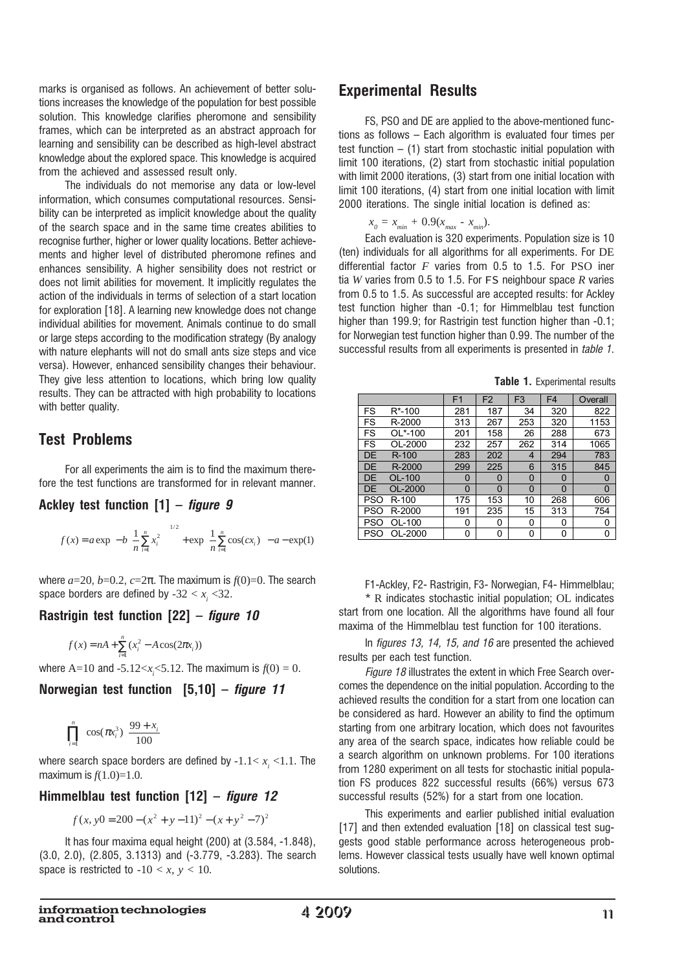marks is organised as follows. An achievement of better solutions increases the knowledge of the population for best possible solution. This knowledge clarifies pheromone and sensibility frames, which can be interpreted as an abstract approach for learning and sensibility can be described as high-level abstract knowledge about the explored space. This knowledge is acquired from the achieved and assessed result only.

The individuals do not memorise any data or low-level information, which consumes computational resources. Sensibility can be interpreted as implicit knowledge about the quality of the search space and in the same time creates abilities to recognise further, higher or lower quality locations. Better achievements and higher level of distributed pheromone refines and enhances sensibility. A higher sensibility does not restrict or does not limit abilities for movement. It implicitly regulates the action of the individuals in terms of selection of a start location for exploration [18]. A learning new knowledge does not change individual abilities for movement. Animals continue to do small or large steps according to the modification strategy (By analogy with nature elephants will not do small ants size steps and vice versa). However, enhanced sensibility changes their behaviour. They give less attention to locations, which bring low quality results. They can be attracted with high probability to locations with better quality.

## **Test Problems**

For all experiments the aim is to find the maximum therefore the test functions are transformed for in relevant manner.

Ackley test function [1] - figure 9

$$
f(x) = a \exp \left[ -b \left( \frac{1}{n} \sum_{i=1}^{n} x_i^2 \right) \right]^{1/2} + \exp \left( \frac{1}{n} \sum_{i=1}^{n} \cos(cx_i) \right) - a - \exp(1)
$$

where  $a=20$ ,  $b=0.2$ ,  $c=2\pi$ . The maximum is  $f(0)=0$ . The search space borders are defined by -32  $\lt x$ ,  $\lt 32$ .

#### Rastrigin test function [22] - figure 10

$$
f(x) = nA + \sum_{i=1}^{n} (x_i^2 - A\cos(2\pi x_i))
$$

where A=10 and -5.12<x, <5.12. The maximum is  $f(0) = 0$ .

Norwegian test function  $[5,10]$  – figure 11

$$
\prod_{i=1}^{n} \left( \cos(\pi x_i^3) \left( \frac{99 + x_i}{100} \right) \right)
$$

where search space borders are defined by  $-1.1 < x_i < 1.1$ . The maximum is  $f(1.0)=1.0$ .

#### Himmelblau test function [12] - figure 12

 $f(x, y) = 200 - (x^2 + y - 11)^2 - (x + y^2 - 7)^2$ 

It has four maxima equal height (200) at (3.584, -1.848), (3.0, 2.0), (2.805, 3.1313) and (-3.779, -3.283). The search space is restricted to  $-10 < x$ ,  $y < 10$ .

## **Experimental Results**

FS, PSO and DE are applied to the above-mentioned functions as follows - Each algorithm is evaluated four times per test function  $-$  (1) start from stochastic initial population with limit 100 iterations, (2) start from stochastic initial population with limit 2000 iterations, (3) start from one initial location with limit 100 iterations, (4) start from one initial location with limit 2000 iterations. The single initial location is defined as:

$$
x_o = x_{\min} + 0.9(x_{\max} - x_{\min}).
$$

Each evaluation is 320 experiments. Population size is 10 (ten) individuals for all algorithms for all experiments. For DE differential factor  $F$  varies from 0.5 to 1.5. For PSO iner tia W varies from 0.5 to 1.5. For  $FS$  neighbour space R varies from 0.5 to 1.5. As successful are accepted results: for Ackley test function higher than -0.1; for Himmelblau test function higher than 199.9: for Rastrigin test function higher than -0.1: for Norwegian test function higher than 0.99. The number of the successful results from all experiments is presented in table 1.

|  |  |  | Table 1. Experimental results |  |
|--|--|--|-------------------------------|--|
|--|--|--|-------------------------------|--|

|     |           | F <sub>1</sub> | F <sub>2</sub> | F <sub>3</sub> | F <sub>4</sub> | Overall  |
|-----|-----------|----------------|----------------|----------------|----------------|----------|
| FS  | $R*-100$  | 281            | 187            | 34             | 320            | 822      |
| FS  | R-2000    | 313            | 267            | 253            | 320            | 1153     |
| FS  | $OL*-100$ | 201            | 158            | 26             | 288            | 673      |
| FS  | OL-2000   | 232            | 257            | 262            | 314            | 1065     |
| DE  | R-100     | 283            | 202            | 4              | 294            | 783      |
| DE  | R-2000    | 299            | 225            | 6              | 315            | 845      |
| DE  | OL-100    | 0              | O              | $\Omega$       | 0              | 0        |
| DF  | OL-2000   | 0              | $\Omega$       | $\Omega$       | 0              | $\Omega$ |
| PSO | R-100     | 175            | 153            | 10             | 268            | 606      |
| PSO | R-2000    | 191            | 235            | 15             | 313            | 754      |
| PSO | OL-100    | 0              | 0              | 0              | ი              | 0        |
| PSO | OL-2000   | 0              | 0              | 0              | 0              | 0        |

F1-Ackley, F2- Rastrigin, F3- Norwegian, F4- Himmelblau; \* R indicates stochastic initial population; OL indicates start from one location. All the algorithms have found all four maxima of the Himmelblau test function for 100 iterations.

In figures 13, 14, 15, and 16 are presented the achieved results per each test function.

Figure 18 illustrates the extent in which Free Search overcomes the dependence on the initial population. According to the achieved results the condition for a start from one location can be considered as hard. However an ability to find the optimum starting from one arbitrary location, which does not favourites any area of the search space, indicates how reliable could be a search algorithm on unknown problems. For 100 iterations from 1280 experiment on all tests for stochastic initial population FS produces 822 successful results (66%) versus 673 successful results (52%) for a start from one location.

This experiments and earlier published initial evaluation [17] and then extended evaluation [18] on classical test suggests good stable performance across heterogeneous problems. However classical tests usually have well known optimal solutions.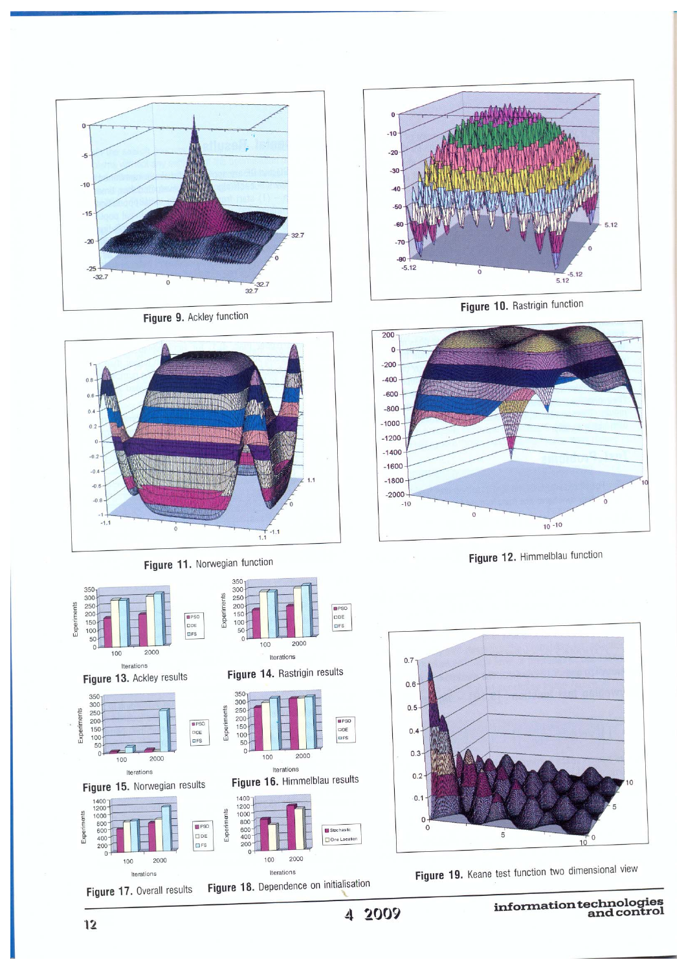

Figure 9. Ackley function



Figure 11. Norwegian function



Iterations Iterations Figure 18. Dependence on initialisation Figure 17. Overall results

100



Figure 10. Rastrigin function



Figure 12. Himmelblau function





information technologies<br>and control

 $\begin{array}{c}\n\text{IPSC} \\
\Box \text{DE}\n\end{array}$ 

 $GFS$ 

**UPSO** 

ODE

ors

**IN Stochastic** 

2000

One Location

200

100

2000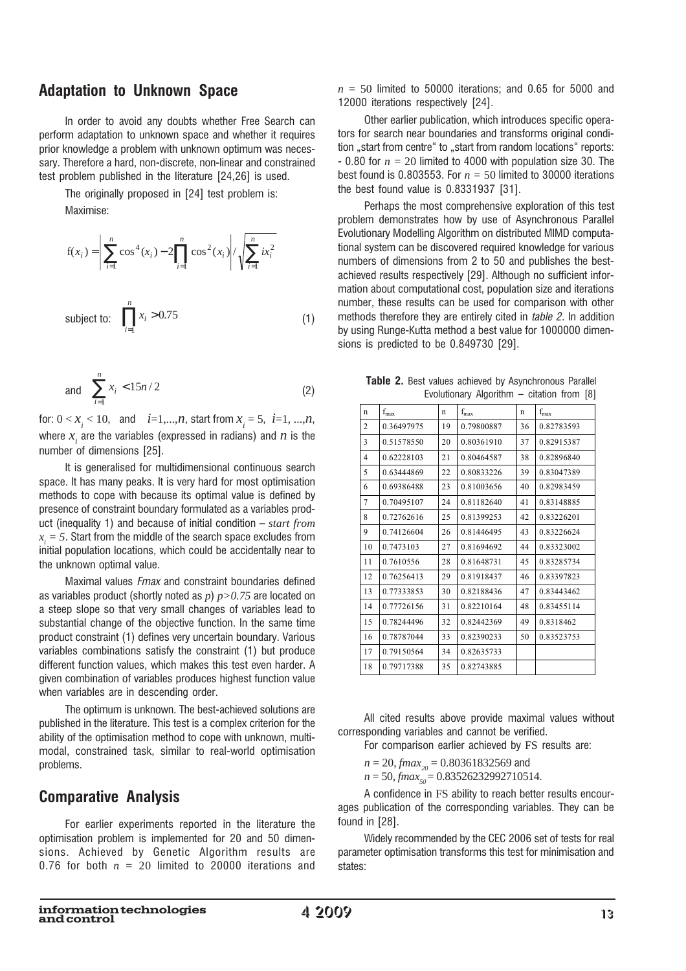### **Adaptation to Unknown Space**

In order to avoid any doubts whether Free Search can perform adaptation to unknown space and whether it requires prior knowledge a problem with unknown optimum was necessary. Therefore a hard, non-discrete, non-linear and constrained test problem published in the literature [24,26] is used.

The originally proposed in [24] test problem is: Maximise<sup>.</sup>

$$
f(x_i) = \left| \sum_{i=1}^{n} \cos^4(x_i) - 2 \prod_{i=1}^{n} \cos^2(x_i) \right| / \sqrt{\sum_{i=1}^{n} ix_i^2}
$$
  
subject to: 
$$
\prod_{i=1}^{n} x_i > 0.75
$$
 (1)

and 
$$
\sum_{i=1}^{n} x_i < 15n/2
$$
 (2)

for:  $0 < x_i < 10$ , and  $i=1,...,n$ , start from  $x_i = 5$ ,  $i=1, ..., n$ , where  $x_i$  are the variables (expressed in radians) and  $n$  is the number of dimensions [25].

It is generalised for multidimensional continuous search space. It has many peaks. It is very hard for most optimisation methods to cope with because its optimal value is defined by presence of constraint boundary formulated as a variables product (inequality 1) and because of initial condition  $-$  start from  $x = 5$ . Start from the middle of the search space excludes from initial population locations, which could be accidentally near to the unknown optimal value.

Maximal values *Fmax* and constraint boundaries defined as variables product (shortly noted as  $p$ )  $p > 0.75$  are located on a steep slope so that very small changes of variables lead to substantial change of the objective function. In the same time product constraint (1) defines very uncertain boundary. Various variables combinations satisfy the constraint (1) but produce different function values, which makes this test even harder. A given combination of variables produces highest function value when variables are in descending order.

The optimum is unknown. The best-achieved solutions are published in the literature. This test is a complex criterion for the ability of the optimisation method to cope with unknown, multimodal, constrained task, similar to real-world optimisation problems.

#### **Comparative Analysis**

For earlier experiments reported in the literature the optimisation problem is implemented for 20 and 50 dimensions. Achieved by Genetic Algorithm results are 0.76 for both  $n = 20$  limited to 20000 iterations and  $n = 50$  limited to 50000 iterations: and 0.65 for 5000 and 12000 iterations respectively [24].

Other earlier publication, which introduces specific operators for search near boundaries and transforms original condition "start from centre" to "start from random locations" reports: - 0.80 for  $n = 20$  limited to 4000 with population size 30. The best found is 0.803553. For  $n = 50$  limited to 30000 iterations the best found value is  $0.8331937$  [31].

Perhaps the most comprehensive exploration of this test problem demonstrates how by use of Asynchronous Parallel Evolutionary Modelling Algorithm on distributed MIMD computational system can be discovered required knowledge for various numbers of dimensions from 2 to 50 and publishes the bestachieved results respectively [29]. Although no sufficient information about computational cost, population size and iterations number, these results can be used for comparison with other methods therefore they are entirely cited in *table 2*. In addition by using Runge-Kutta method a best value for 1000000 dimensions is predicted to be 0.849730 [29].

| n              | $\rm f_{max}$ | n  | $\rm f_{max}$ | n  | $\rm f_{max}$ |
|----------------|---------------|----|---------------|----|---------------|
| $\overline{2}$ | 0.36497975    | 19 | 0.79800887    | 36 | 0.82783593    |
| 3              | 0.51578550    | 20 | 0.80361910    | 37 | 0.82915387    |
| $\overline{4}$ | 0.62228103    | 21 | 0.80464587    | 38 | 0.82896840    |
| 5              | 0.63444869    | 22 | 0.80833226    | 39 | 0.83047389    |
| 6              | 0.69386488    | 23 | 0.81003656    | 40 | 0.82983459    |
| 7              | 0.70495107    | 24 | 0.81182640    | 41 | 0.83148885    |
| 8              | 0.72762616    | 25 | 0.81399253    | 42 | 0.83226201    |
| 9              | 0.74126604    | 26 | 0 81446495    | 43 | 0.83226624    |
| 10             | 0.7473103     | 27 | 0.81694692    | 44 | 0.83323002    |
| 11             | 0.7610556     | 28 | 0.81648731    | 45 | 0.83285734    |
| 12             | 0.76256413    | 29 | 0.81918437    | 46 | 0.83397823    |
| 13             | 0.77333853    | 30 | 0.82188436    | 47 | 0.83443462    |
| 14             | 0.77726156    | 31 | 0.82210164    | 48 | 0.83455114    |
| 15             | 0.78244496    | 32 | 0.82442369    | 49 | 0.8318462     |
| 16             | 0.78787044    | 33 | 0.82390233    | 50 | 0.83523753    |
| 17             | 0.79150564    | 34 | 0.82635733    |    |               |
| 18             | 0.79717388    | 35 | 0.82743885    |    |               |

Table 2. Best values achieved by Asynchronous Parallel Evolutionary Algorithm - citation from [8]

All cited results above provide maximal values without corresponding variables and cannot be verified.

For comparison earlier achieved by FS results are:

 $n = 20, fmax_{20} = 0.80361832569$  and

 $n = 50, fmax_{50} = 0.83526232992710514.$ 

A confidence in FS ability to reach better results encourages publication of the corresponding variables. They can be found in [28].

Widely recommended by the CEC 2006 set of tests for real parameter optimisation transforms this test for minimisation and states: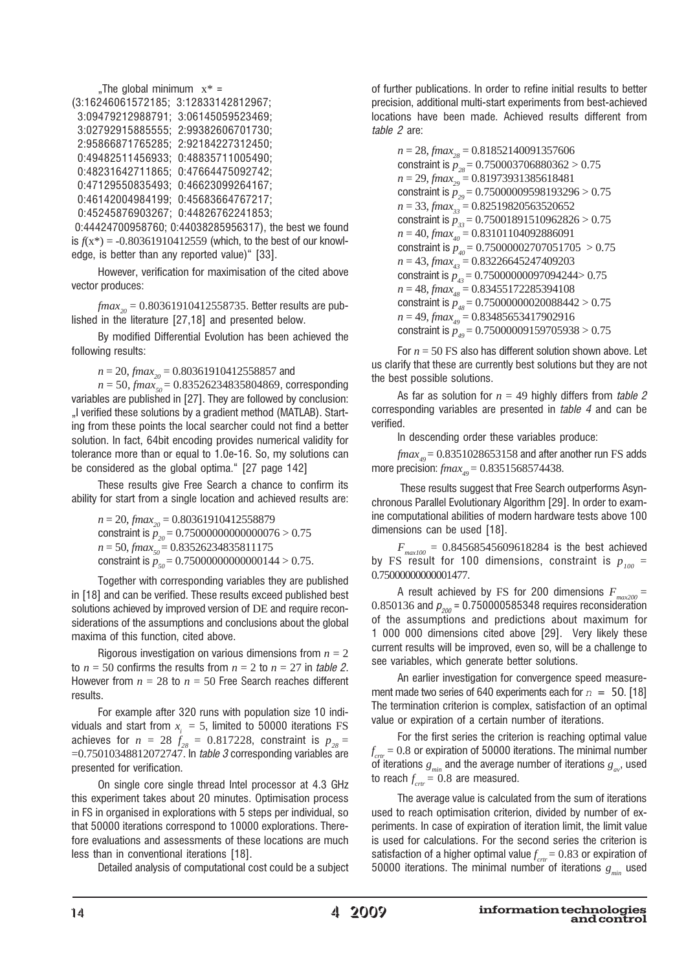```
"The global minimum x^* =(3:16246061572185: 3:12833142812967:
3:09479212988791: 3:06145059523469:
3:02792915885555; 2:99382606701730;
2:95866871765285; 2:92184227312450;
0:49482511456933; 0:48835711005490;
0:48231642711865: 0:47664475092742:
0:47129550835493; 0:46623099264167;
0:46142004984199: 0:45683664767217:
0:45245876903267: 0:44826762241853:
```
0:44424700958760; 0:44038285956317), the best we found is  $f(x^*) = -0.80361910412559$  (which, to the best of our knowledge, is better than any reported value)" [33].

However, verification for maximisation of the cited above vector produces:

 $fmax_{20} = 0.80361910412558735$ . Better results are published in the literature [27,18] and presented below.

By modified Differential Evolution has been achieved the following results:

 $n = 20$ ,  $fmax_{20} = 0.80361910412558857$  and

 $n = 50$ ,  $fmax_{50} = 0.83526234835804869$ , corresponding variables are published in [27]. They are followed by conclusion: "I verified these solutions by a gradient method (MATLAB). Starting from these points the local searcher could not find a better solution. In fact, 64bit encoding provides numerical validity for tolerance more than or equal to 1.0e-16. So, my solutions can be considered as the global optima." [27 page 142]

These results give Free Search a chance to confirm its ability for start from a single location and achieved results are:

```
n = 20, fmax_{20} = 0.80361910412558879constraint is p_{20} = 0.75000000000000076 > 0.75n = 50, fmax_{50} = 0.83526234835811175constraint is p_{so} = 0.75000000000000144 > 0.75.
```
Together with corresponding variables they are published in [18] and can be verified. These results exceed published best solutions achieved by improved version of DE and require reconsiderations of the assumptions and conclusions about the global maxima of this function, cited above.

Rigorous investigation on various dimensions from  $n = 2$ to  $n = 50$  confirms the results from  $n = 2$  to  $n = 27$  in table 2. However from  $n = 28$  to  $n = 50$  Free Search reaches different results.

For example after 320 runs with population size 10 individuals and start from  $x_i = 5$ , limited to 50000 iterations FS achieves for  $n = 28$   $f_{28} = 0.817228$ , constraint is  $p_{28} =$  $= 0.75010348812072747$ . In *table 3* corresponding variables are presented for verification.

On single core single thread Intel processor at 4.3 GHz this experiment takes about 20 minutes. Optimisation process in FS in organised in explorations with 5 steps per individual, so that 50000 iterations correspond to 10000 explorations. Therefore evaluations and assessments of these locations are much less than in conventional iterations [18].

Detailed analysis of computational cost could be a subject

of further publications. In order to refine initial results to better precision, additional multi-start experiments from best-achieved locations have been made. Achieved results different from table 2 are:

 $n = 28, fmax_{28} = 0.81852140091357606$ constraint is  $p_{28} = 0.750003706880362 > 0.75$  $n = 29, fmax_{29} = 0.81973931385618481$ constraint is  $p_{20} = 0.75000009598193296 > 0.75$  $n = 33, fmax_{33} = 0.82519820563520652$ constraint is  $p_{33} = 0.75001891510962826 > 0.75$  $n = 40, fmax_{a0} = 0.83101104092886091$ constraint is  $p_{00} = 0.75000002707051705 > 0.75$  $n = 43, fmax_{A3} = 0.83226645247409203$ constraint is  $p_{A2} = 0.75000000097094244 > 0.75$  $n = 48, fmax_{as} = 0.83455172285394108$ constraint is  $p_{as} = 0.75000000020088442 > 0.75$  $n = 49, fmax_{19} = 0.83485653417902916$ constraint is  $p_{40} = 0.75000009159705938 > 0.75$ 

For  $n = 50$  FS also has different solution shown above. Let us clarify that these are currently best solutions but they are not the best possible solutions.

As far as solution for  $n = 49$  highly differs from table 2 corresponding variables are presented in table 4 and can be verified.

In descending order these variables produce:

 $fmax_{10}$  = 0.8351028653158 and after another run FS adds more precision:  $fmax_{10} = 0.8351568574438$ .

These results suggest that Free Search outperforms Asynchronous Parallel Evolutionary Algorithm [29]. In order to examine computational abilities of modern hardware tests above 100 dimensions can be used [18].

 $F_{max100} = 0.84568545609618284$  is the best achieved<br>by FS result for 100 dimensions, constraint is  $p_{100} =$ 0.7500000000001477.

A result achieved by FS for 200 dimensions  $F_{max200} =$ 0.850136 and  $p_{200}$  = 0.750000585348 requires reconsideration of the assumptions and predictions about maximum for 1 000 000 dimensions cited above [29]. Very likely these current results will be improved, even so, will be a challenge to see variables, which generate better solutions.

An earlier investigation for convergence speed measurement made two series of 640 experiments each for  $n = 50$ . [18] The termination criterion is complex, satisfaction of an optimal value or expiration of a certain number of iterations.

For the first series the criterion is reaching optimal value  $f_{\text{ctr}}$  = 0.8 or expiration of 50000 iterations. The minimal number of iterations  $g_{\text{min}}$  and the average number of iterations  $g_{\text{av}}$ , used to reach  $f_{\text{max}} = 0.8$  are measured.

The average value is calculated from the sum of iterations used to reach optimisation criterion, divided by number of experiments. In case of expiration of iteration limit, the limit value is used for calculations. For the second series the criterion is satisfaction of a higher optimal value  $f_{\text{corr}} = 0.83$  or expiration of 50000 iterations. The minimal number of iterations  $g_{\text{max}}$  used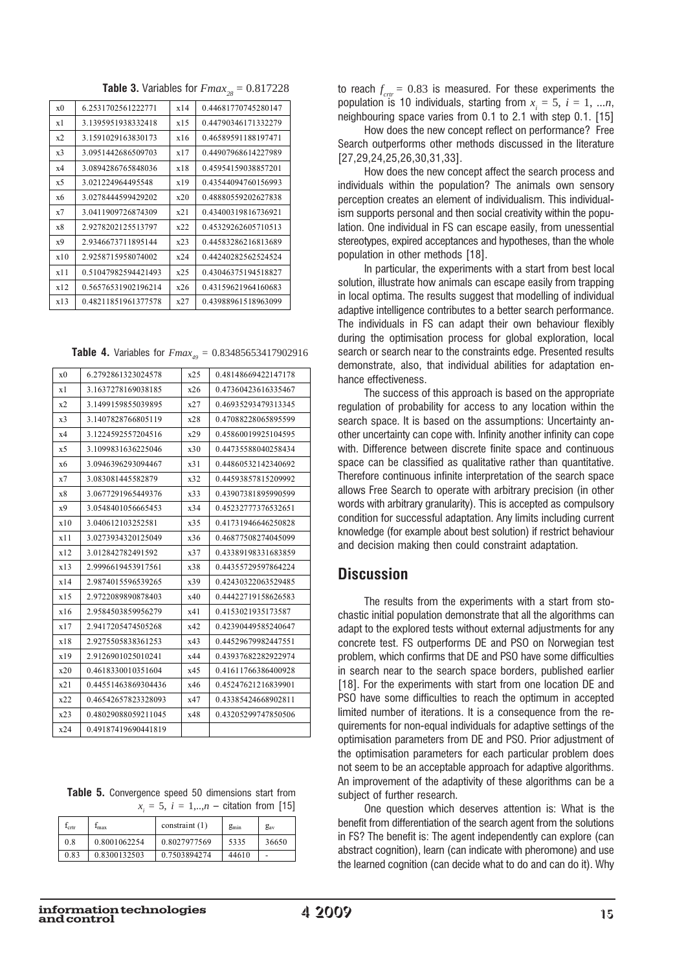| x(0) | 6.2531702561222771  | x14 | 0.44681770745280147 |
|------|---------------------|-----|---------------------|
| x1   | 3.1395951938332418  | x15 | 0.44790346171332279 |
| x2   | 3.1591029163830173  | x16 | 0.46589591188197471 |
| x3   | 3.0951442686509703  | x17 | 0.44907968614227989 |
| x4   | 3.0894286765848036  | x18 | 0.45954159038857201 |
| x5   | 3.021224964495548   | x19 | 0.43544094760156993 |
| x6   | 3.0278444599429202  | x20 | 0.48880559202627838 |
| x7   | 3.0411909726874309  | x21 | 0.43400319816736921 |
| x8   | 2.9278202125513797  | x22 | 0.45329262605710513 |
| x9   | 2.9346673711895144  | x23 | 0.44583286216813689 |
| x10  | 2.9258715958074002  | x24 | 0.44240282562524524 |
| x11  | 0.51047982594421493 | x25 | 0.43046375194518827 |
| x12  | 0.56576531902196214 | x26 | 0.43159621964160683 |
| x13  | 0.48211851961377578 | x27 | 0.43988961518963099 |

**Table 3.** Variables for  $Fmax_{28} = 0.817228$ 

|  |  |  |  |  |  | <b>Table 4.</b> Variables for $Fmax_{10} = 0.83485653417902916$ |
|--|--|--|--|--|--|-----------------------------------------------------------------|
|--|--|--|--|--|--|-----------------------------------------------------------------|

| x0             | 6.2792861323024578  | x25 | 0.48148669422147178 |
|----------------|---------------------|-----|---------------------|
| x1             | 3.1637278169038185  | x26 | 0.47360423616335467 |
| x2             | 3.1499159855039895  | x27 | 0.46935293479313345 |
| x <sub>3</sub> | 3.1407828766805119  | x28 | 0.47088228065895599 |
| x4             | 3.1224592557204516  | x29 | 0.45860019925104595 |
| x5             | 3.1099831636225046  | x30 | 0.44735588040258434 |
| x6             | 3.0946396293094467  | x31 | 0.44860532142340692 |
| x7             | 3.083081445582879   | x32 | 0.44593857815209992 |
| x8             | 3.0677291965449376  | x33 | 0.43907381895990599 |
| x9             | 3.0548401056665453  | x34 | 0.45232777376532651 |
| x10            | 3.040612103252581   | x35 | 0.41731946646250828 |
| x11            | 3.0273934320125049  | x36 | 0.46877508274045099 |
| x12            | 3.012842782491592   | x37 | 0.43389198331683859 |
| x13            | 2.9996619453917561  | x38 | 0.44355729597864224 |
| x14            | 2.9874015596539265  | x39 | 0.42430322063529485 |
| x15            | 2.9722089890878403  | x40 | 0.44422719158626583 |
| x16            | 2.9584503859956279  | x41 | 0.4153021935173587  |
| x17            | 2.9417205474505268  | x42 | 0.42390449585240647 |
| x18            | 2.9275505838361253  | x43 | 0.44529679982447551 |
| x19            | 2.9126901025010241  | x44 | 0.43937682282922974 |
| x20            | 0.4618330010351604  | x45 | 0.41611766386400928 |
| x21            | 0.44551463869304436 | x46 | 0.45247621216839901 |
| x22            | 0.46542657823328093 | x47 | 0.43385424668902811 |
| x23            | 0.48029088059211045 | x48 | 0.43205299747850506 |
| x24            | 0.49187419690441819 |     |                     |

| Table 5. Convergence speed 50 dimensions start from |  |                                           |  |
|-----------------------------------------------------|--|-------------------------------------------|--|
|                                                     |  | $x = 5$ , $i = 1,,n$ – citation from [15] |  |

| 1 <sub>ctr</sub> | <sup>1</sup> max | constraint $(1)$ | $g_{min}$ | $g_{av}$ |
|------------------|------------------|------------------|-----------|----------|
| 0.8              | 0.8001062254     | 0.8027977569     | 5335      | 36650    |
| 0.83             | 0.8300132503     | 0.7503894274     | 44610     |          |

to reach  $f_{\text{ctr}}$  = 0.83 is measured. For these experiments the population is 10 individuals, starting from  $x = 5$ ,  $i = 1, ..., n$ , neighbouring space varies from 0.1 to 2.1 with step 0.1. [15]

How does the new concept reflect on performance? Free Search outperforms other methods discussed in the literature  $[27, 29, 24, 25, 26, 30, 31, 33]$ .

How does the new concept affect the search process and individuals within the population? The animals own sensory perception creates an element of individualism. This individualism supports personal and then social creativity within the population. One individual in FS can escape easily, from unessential stereotypes, expired acceptances and hypotheses, than the whole population in other methods [18].

In particular, the experiments with a start from best local solution, illustrate how animals can escape easily from trapping in local optima. The results suggest that modelling of individual adaptive intelligence contributes to a better search performance. The individuals in FS can adapt their own behaviour flexibly during the optimisation process for global exploration. local search or search near to the constraints edge. Presented results demonstrate, also, that individual abilities for adaptation enhance effectiveness.

The success of this approach is based on the appropriate regulation of probability for access to any location within the search space. It is based on the assumptions: Uncertainty another uncertainty can cope with. Infinity another infinity can cope with. Difference between discrete finite space and continuous space can be classified as qualitative rather than quantitative. Therefore continuous infinite interpretation of the search space allows Free Search to operate with arbitrary precision (in other words with arbitrary granularity). This is accepted as compulsory condition for successful adaptation. Any limits including current knowledge (for example about best solution) if restrict behaviour and decision making then could constraint adaptation.

### **Discussion**

The results from the experiments with a start from stochastic initial population demonstrate that all the algorithms can adapt to the explored tests without external adjustments for any concrete test. FS outperforms DE and PSO on Norwegian test problem, which confirms that DE and PSO have some difficulties in search near to the search space borders, published earlier [18]. For the experiments with start from one location DE and PSO have some difficulties to reach the optimum in accepted limited number of iterations. It is a consequence from the requirements for non-equal individuals for adaptive settings of the optimisation parameters from DE and PSO. Prior adjustment of the optimisation parameters for each particular problem does not seem to be an acceptable approach for adaptive algorithms. An improvement of the adaptivity of these algorithms can be a subject of further research.

One question which deserves attention is: What is the benefit from differentiation of the search agent from the solutions in FS? The benefit is: The agent independently can explore (can abstract cognition), learn (can indicate with pheromone) and use the learned cognition (can decide what to do and can do it). Why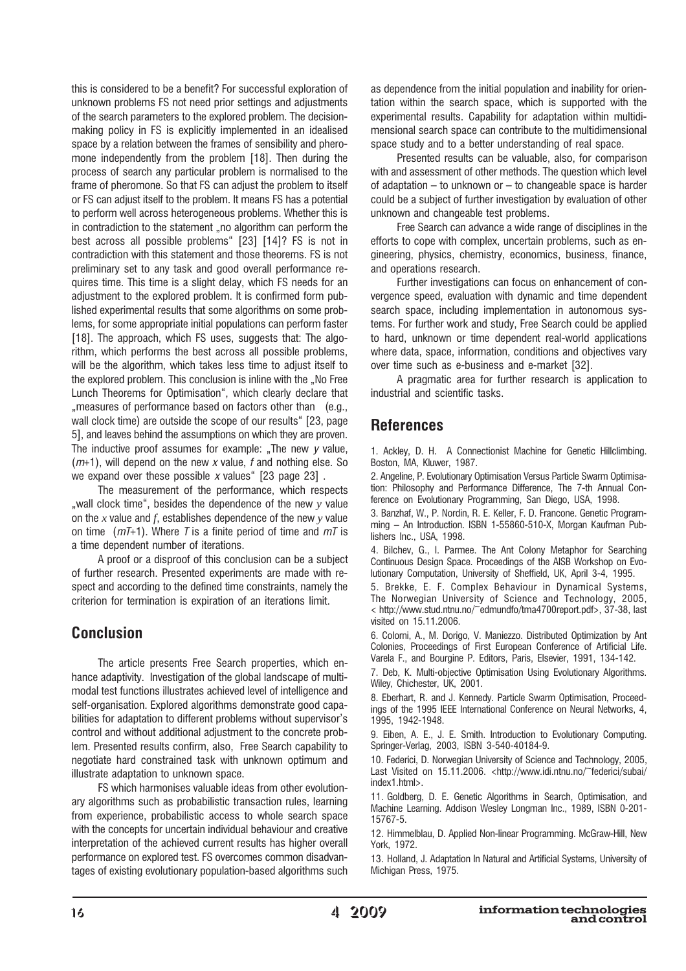this is considered to be a benefit? For successful exploration of unknown problems FS not need prior settings and adjustments of the search parameters to the explored problem. The decisionmaking policy in FS is explicitly implemented in an idealised space by a relation between the frames of sensibility and pheromone independently from the problem [18]. Then during the process of search any particular problem is normalised to the frame of pheromone. So that FS can adjust the problem to itself or FS can adjust itself to the problem. It means FS has a potential to perform well across heterogeneous problems. Whether this is in contradiction to the statement ..no algorithm can perform the best across all possible problems" [23] [14]? FS is not in contradiction with this statement and those theorems. FS is not preliminary set to any task and good overall performance requires time. This time is a slight delay, which FS needs for an adjustment to the explored problem. It is confirmed form published experimental results that some algorithms on some problems, for some appropriate initial populations can perform faster [18]. The approach, which FS uses, suggests that: The algorithm, which performs the best across all possible problems. will be the algorithm, which takes less time to adjust itself to the explored problem. This conclusion is inline with the ..No Free Lunch Theorems for Optimisation", which clearly declare that .. measures of performance based on factors other than (e.g., wall clock time) are outside the scope of our results " [23, page 51, and leaves behind the assumptions on which they are proven. The inductive proof assumes for example: "The new y value,  $(m+1)$ , will depend on the new x value, f and nothing else. So we expand over these possible x values " $[23 \text{ page } 23]$ .

The measurement of the performance, which respects . wall clock time", besides the dependence of the new  $v$  value on the x value and f, establishes dependence of the new y value on time  $(mT+1)$ . Where T is a finite period of time and  $mT$  is a time dependent number of iterations.

A proof or a disproof of this conclusion can be a subject of further research. Presented experiments are made with respect and according to the defined time constraints, namely the criterion for termination is expiration of an iterations limit.

## **Conclusion**

The article presents Free Search properties, which enhance adaptivity. Investigation of the global landscape of multimodal test functions illustrates achieved level of intelligence and self-organisation. Explored algorithms demonstrate good capabilities for adaptation to different problems without supervisor's control and without additional adjustment to the concrete problem. Presented results confirm, also, Free Search capability to negotiate hard constrained task with unknown optimum and illustrate adaptation to unknown space.

FS which harmonises valuable ideas from other evolutionary algorithms such as probabilistic transaction rules, learning from experience, probabilistic access to whole search space with the concepts for uncertain individual behaviour and creative interpretation of the achieved current results has higher overall performance on explored test. FS overcomes common disadvantages of existing evolutionary population-based algorithms such as dependence from the initial population and inability for orientation within the search space, which is supported with the experimental results. Capability for adaptation within multidimensional search space can contribute to the multidimensional space study and to a better understanding of real space.

Presented results can be valuable, also, for comparison with and assessment of other methods. The question which level of adaptation  $-$  to unknown or  $-$  to changeable space is harder could be a subject of further investigation by evaluation of other unknown and changeable test problems.

Free Search can advance a wide range of disciplines in the efforts to cope with complex, uncertain problems, such as engineering, physics, chemistry, economics, business, finance, and operations research.

Further investigations can focus on enhancement of convergence speed, evaluation with dynamic and time dependent search space, including implementation in autonomous systems. For further work and study. Free Search could be applied to hard, unknown or time dependent real-world applications where data, space, information, conditions and objectives vary over time such as e-business and e-market [32].

A pragmatic area for further research is application to industrial and scientific tasks.

## **References**

1. Ackley, D. H. A Connectionist Machine for Genetic Hillclimbing. Boston, MA, Kluwer, 1987.

2. Angeline, P. Evolutionary Optimisation Versus Particle Swarm Optimisation: Philosophy and Performance Difference, The 7-th Annual Conference on Evolutionary Programming, San Diego, USA, 1998.

3. Banzhaf, W., P. Nordin, R. E. Keller, F. D. Francone. Genetic Programming - An Introduction. ISBN 1-55860-510-X, Morgan Kaufman Publishers Inc., USA, 1998.

4. Bilchev. G., I. Parmee. The Ant Colony Metaphor for Searching Continuous Design Space. Proceedings of the AISB Workshop on Evolutionary Computation, University of Sheffield, UK, April 3-4, 1995.

5. Brekke, E. F. Complex Behaviour in Dynamical Systems, The Norwegian University of Science and Technology, 2005, < http://www.stud.ntnu.no/~edmundfo/tma4700report.pdf>, 37-38, last visited on 15.11.2006.

6. Colorni, A., M. Dorigo, V. Maniezzo. Distributed Optimization by Ant Colonies, Proceedings of First European Conference of Artificial Life. Varela F., and Bourgine P. Editors, Paris, Elsevier, 1991, 134-142.

7. Deb, K. Multi-objective Optimisation Using Evolutionary Algorithms. Wiley, Chichester, UK, 2001.

8. Eberhart, R. and J. Kennedy. Particle Swarm Optimisation, Proceedings of the 1995 IEEE International Conference on Neural Networks, 4. 1995, 1942-1948.

9. Eiben, A. E., J. E. Smith. Introduction to Evolutionary Computing. Springer-Verlag, 2003, ISBN 3-540-40184-9.

10. Federici, D. Norwegian University of Science and Technology, 2005, Last Visited on 15.11.2006. < http://www.idi.ntnu.no/~federici/subai/ index1.html>.

11. Goldberg, D. E. Genetic Algorithms in Search, Optimisation, and Machine Learning. Addison Wesley Longman Inc., 1989, ISBN 0-201-15767-5.

12. Himmelblau, D. Applied Non-linear Programming. McGraw-Hill, New York. 1972.

13. Holland, J. Adaptation In Natural and Artificial Systems, University of Michigan Press, 1975.